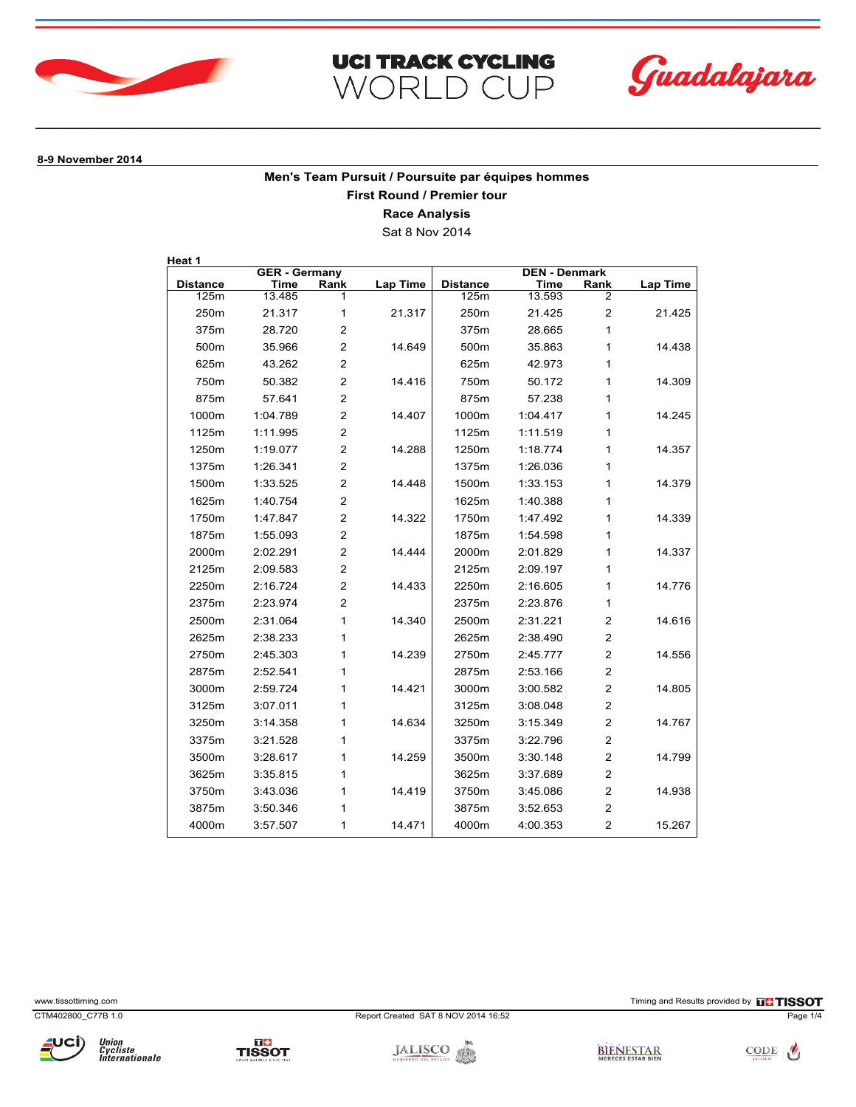





**8-9 November 2014**

**Men's Team Pursuit / Poursuite par équipes hommes First Round / Premier tour**

**Race Analysis**

Sat 8 Nov 2014

| <b>GER - Germany</b> |          |                | <b>DEN - Denmark</b> |                 |          |                         |          |
|----------------------|----------|----------------|----------------------|-----------------|----------|-------------------------|----------|
| <b>Distance</b>      | Time     | Rank           | <b>Lap Time</b>      | <b>Distance</b> | Time     | Rank                    | Lap Time |
| 125m                 | 13.485   | 1              |                      | 125m            | 13.593   | 2                       |          |
| 250 <sub>m</sub>     | 21.317   | 1              | 21.317               | 250m            | 21.425   | $\overline{2}$          | 21.425   |
| 375m                 | 28.720   | $\overline{2}$ |                      | 375m            | 28.665   | 1                       |          |
| 500m                 | 35.966   | $\overline{2}$ | 14.649               | 500m            | 35.863   | 1                       | 14.438   |
| 625m                 | 43.262   | $\overline{2}$ |                      | 625m            | 42.973   | 1                       |          |
| 750m                 | 50.382   | 2              | 14.416               | 750m            | 50.172   | 1                       | 14.309   |
| 875m                 | 57.641   | $\overline{2}$ |                      | 875m            | 57.238   | 1                       |          |
| 1000m                | 1:04.789 | 2              | 14.407               | 1000m           | 1:04.417 | 1                       | 14.245   |
| 1125m                | 1:11.995 | $\overline{2}$ |                      | 1125m           | 1:11.519 | 1                       |          |
| 1250m                | 1:19.077 | $\overline{2}$ | 14.288               | 1250m           | 1:18.774 | 1                       | 14.357   |
| 1375m                | 1:26.341 | $\overline{2}$ |                      | 1375m           | 1:26.036 | 1                       |          |
| 1500m                | 1:33.525 | $\overline{2}$ | 14.448               | 1500m           | 1:33.153 | 1                       | 14.379   |
| 1625m                | 1:40.754 | $\overline{2}$ |                      | 1625m           | 1:40.388 | 1                       |          |
| 1750m                | 1:47.847 | $\overline{2}$ | 14.322               | 1750m           | 1:47.492 | 1                       | 14.339   |
| 1875m                | 1:55.093 | $\overline{2}$ |                      | 1875m           | 1:54.598 | 1                       |          |
| 2000m                | 2:02.291 | $\mathbf{2}$   | 14.444               | 2000m           | 2:01.829 | 1                       | 14.337   |
| 2125m                | 2:09.583 | $\overline{2}$ |                      | 2125m           | 2:09.197 | 1                       |          |
| 2250m                | 2:16.724 | $\overline{2}$ | 14.433               | 2250m           | 2:16.605 | 1                       | 14.776   |
| 2375m                | 2:23.974 | $\overline{2}$ |                      | 2375m           | 2:23.876 | 1                       |          |
| 2500m                | 2:31.064 | 1              | 14.340               | 2500m           | 2:31.221 | $\overline{2}$          | 14.616   |
| 2625m                | 2:38.233 | 1              |                      | 2625m           | 2:38.490 | $\overline{2}$          |          |
| 2750m                | 2:45.303 | 1              | 14.239               | 2750m           | 2:45.777 | $\overline{2}$          | 14.556   |
| 2875m                | 2:52.541 | 1              |                      | 2875m           | 2:53.166 | $\overline{2}$          |          |
| 3000m                | 2:59.724 | 1              | 14.421               | 3000m           | 3:00.582 | $\overline{2}$          | 14.805   |
| 3125m                | 3:07.011 | 1              |                      | 3125m           | 3:08.048 | $\overline{2}$          |          |
| 3250m                | 3:14.358 | 1              | 14.634               | 3250m           | 3:15.349 | $\overline{\mathbf{c}}$ | 14.767   |
| 3375m                | 3:21.528 | 1              |                      | 3375m           | 3:22.796 | $\overline{2}$          |          |
| 3500m                | 3:28.617 | 1              | 14.259               | 3500m           | 3:30.148 | $\overline{2}$          | 14.799   |
| 3625m                | 3:35.815 | 1              |                      | 3625m           | 3:37.689 | $\overline{2}$          |          |
| 3750m                | 3:43.036 | 1              | 14.419               | 3750m           | 3:45.086 | $\overline{2}$          | 14.938   |
| 3875m                | 3:50.346 | 1              |                      | 3875m           | 3:52.653 | $\overline{2}$          |          |
| 4000m                | 3:57.507 | 1              | 14.471               | 4000m           | 4:00.353 | $\overline{2}$          | 15.267   |

Union<br>Cycliste<br>Internationale



TISSOT

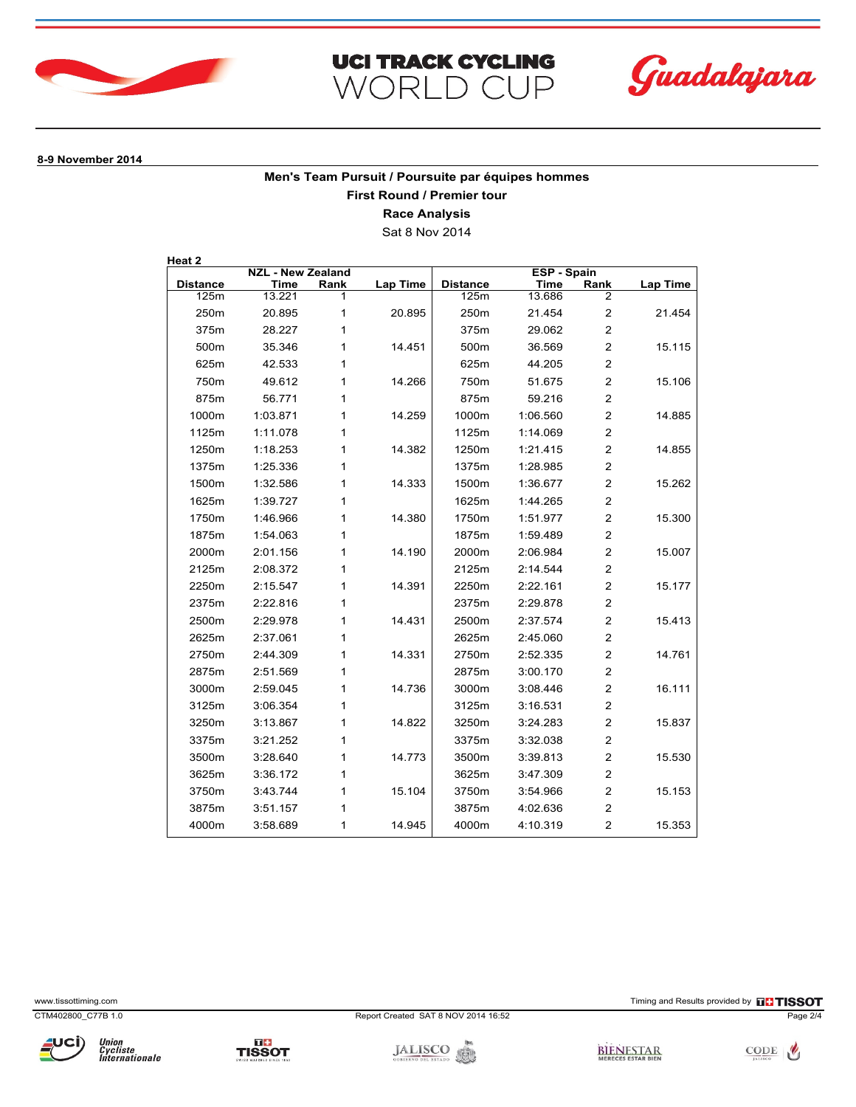





**8-9 November 2014**

**Men's Team Pursuit / Poursuite par équipes hommes First Round / Premier tour**

**Race Analysis**

Sat 8 Nov 2014

| <b>NZL - New Zealand</b> |          |      | <b>ESP - Spain</b> |                 |             |                         |                 |
|--------------------------|----------|------|--------------------|-----------------|-------------|-------------------------|-----------------|
| <b>Distance</b>          | Time     | Rank | <b>Lap Time</b>    | <b>Distance</b> | <b>Time</b> | Rank                    | <b>Lap Time</b> |
| 125m                     | 13.221   | 1    |                    | 125m            | 13.686      | 2                       |                 |
| 250m                     | 20.895   | 1    | 20.895             | 250m            | 21.454      | $\overline{\mathbf{c}}$ | 21.454          |
| 375m                     | 28.227   | 1    |                    | 375m            | 29.062      | $\overline{2}$          |                 |
| 500m                     | 35.346   | 1    | 14.451             | 500m            | 36.569      | $\overline{2}$          | 15.115          |
| 625m                     | 42.533   | 1    |                    | 625m            | 44.205      | $\overline{2}$          |                 |
| 750m                     | 49.612   | 1    | 14.266             | 750m            | 51.675      | $\overline{2}$          | 15.106          |
| 875m                     | 56.771   | 1    |                    | 875m            | 59.216      | $\overline{2}$          |                 |
| 1000m                    | 1:03.871 | 1    | 14.259             | 1000m           | 1:06.560    | $\overline{2}$          | 14.885          |
| 1125m                    | 1:11.078 | 1    |                    | 1125m           | 1:14.069    | $\overline{2}$          |                 |
| 1250m                    | 1:18.253 | 1    | 14.382             | 1250m           | 1:21.415    | $\overline{2}$          | 14.855          |
| 1375m                    | 1:25.336 | 1    |                    | 1375m           | 1:28.985    | $\overline{2}$          |                 |
| 1500m                    | 1:32.586 | 1    | 14.333             | 1500m           | 1:36.677    | $\overline{\mathbf{c}}$ | 15.262          |
| 1625m                    | 1:39.727 | 1    |                    | 1625m           | 1:44.265    | $\overline{2}$          |                 |
| 1750m                    | 1:46.966 | 1    | 14.380             | 1750m           | 1:51.977    | $\overline{2}$          | 15.300          |
| 1875m                    | 1:54.063 | 1    |                    | 1875m           | 1:59.489    | $\overline{2}$          |                 |
| 2000m                    | 2:01.156 | 1    | 14.190             | 2000m           | 2:06.984    | $\overline{2}$          | 15.007          |
| 2125m                    | 2:08.372 | 1    |                    | 2125m           | 2:14.544    | $\overline{2}$          |                 |
| 2250m                    | 2:15.547 | 1    | 14.391             | 2250m           | 2:22.161    | $\overline{2}$          | 15.177          |
| 2375m                    | 2:22.816 | 1    |                    | 2375m           | 2:29.878    | $\overline{2}$          |                 |
| 2500m                    | 2:29.978 | 1    | 14.431             | 2500m           | 2:37.574    | $\overline{2}$          | 15.413          |
| 2625m                    | 2:37.061 | 1    |                    | 2625m           | 2:45.060    | $\overline{c}$          |                 |
| 2750m                    | 2:44.309 | 1    | 14.331             | 2750m           | 2:52.335    | $\overline{2}$          | 14.761          |
| 2875m                    | 2:51.569 | 1    |                    | 2875m           | 3:00.170    | $\overline{2}$          |                 |
| 3000m                    | 2:59.045 | 1    | 14.736             | 3000m           | 3:08.446    | $\overline{2}$          | 16.111          |
| 3125m                    | 3:06.354 | 1    |                    | 3125m           | 3:16.531    | $\overline{c}$          |                 |
| 3250m                    | 3:13.867 | 1    | 14.822             | 3250m           | 3:24.283    | $\overline{c}$          | 15.837          |
| 3375m                    | 3:21.252 | 1    |                    | 3375m           | 3:32.038    | $\overline{\mathbf{c}}$ |                 |
| 3500m                    | 3:28.640 | 1    | 14.773             | 3500m           | 3:39.813    | $\overline{c}$          | 15.530          |
| 3625m                    | 3:36.172 | 1    |                    | 3625m           | 3:47.309    | $\overline{c}$          |                 |
| 3750m                    | 3:43.744 | 1    | 15.104             | 3750m           | 3:54.966    | $\overline{2}$          | 15.153          |
| 3875m                    | 3:51.157 | 1    |                    | 3875m           | 4:02.636    | $\overline{2}$          |                 |
| 4000m                    | 3:58.689 | 1    | 14.945             | 4000m           | 4:10.319    | $\overline{2}$          | 15.353          |

www.tissottiming.com **EXECUTES CONTEXT CONTEXT** Timing and Results provided by **EXECUTES CONTEXT AND RESULTS SO T** 







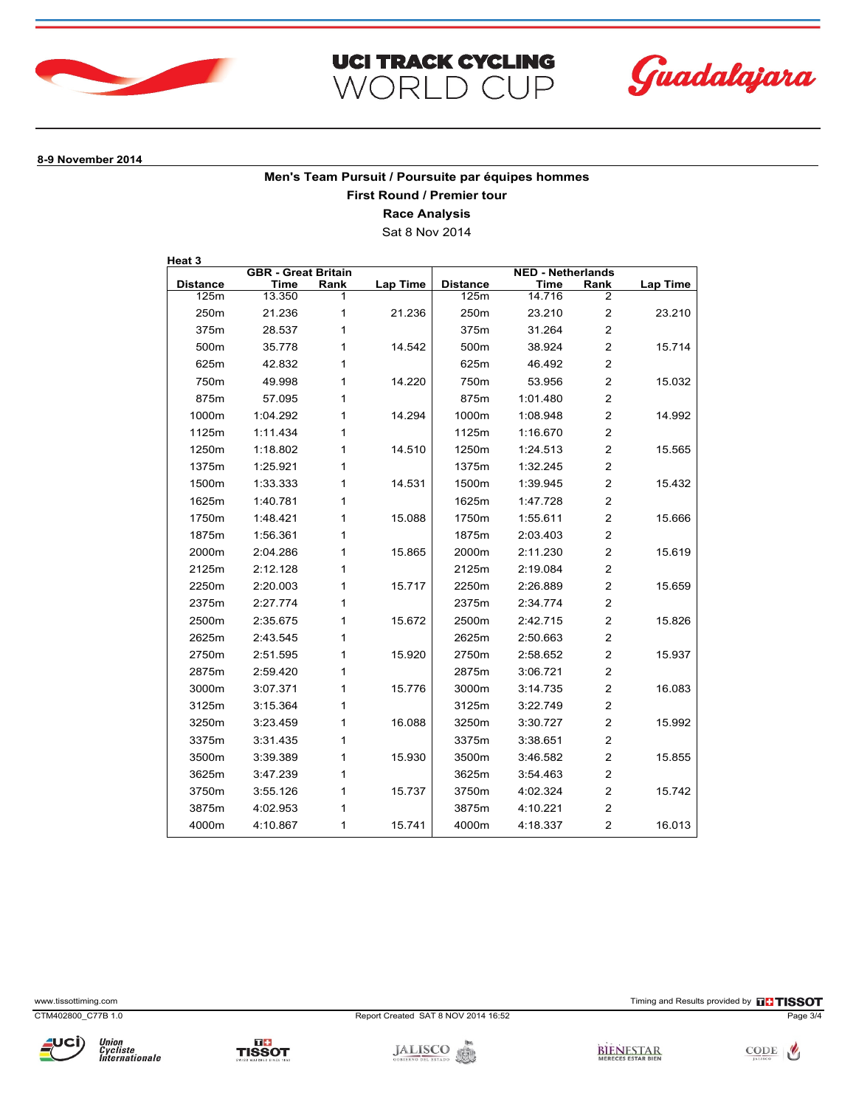





**8-9 November 2014**

**Men's Team Pursuit / Poursuite par équipes hommes First Round / Premier tour**

**Race Analysis**

Sat 8 Nov 2014

| <b>GBR - Great Britain</b> |          |      | <b>NED - Netherlands</b> |                 |          |                         |          |
|----------------------------|----------|------|--------------------------|-----------------|----------|-------------------------|----------|
| <b>Distance</b>            | Time     | Rank | <b>Lap Time</b>          | <b>Distance</b> | Time     | Rank                    | Lap Time |
| 125m                       | 13.350   | 1    |                          | 125m            | 14.716   | 2                       |          |
| 250m                       | 21.236   | 1    | 21.236                   | 250m            | 23.210   | $\overline{\mathbf{c}}$ | 23.210   |
| 375m                       | 28.537   | 1    |                          | 375m            | 31.264   | $\overline{2}$          |          |
| 500m                       | 35.778   | 1    | 14.542                   | 500m            | 38.924   | $\overline{2}$          | 15.714   |
| 625m                       | 42.832   | 1    |                          | 625m            | 46.492   | $\overline{2}$          |          |
| 750m                       | 49.998   | 1    | 14.220                   | 750m            | 53.956   | $\overline{2}$          | 15.032   |
| 875m                       | 57.095   | 1    |                          | 875m            | 1:01.480 | $\overline{2}$          |          |
| 1000m                      | 1:04.292 | 1    | 14.294                   | 1000m           | 1:08.948 | $\overline{2}$          | 14.992   |
| 1125m                      | 1:11.434 | 1    |                          | 1125m           | 1:16.670 | $\overline{c}$          |          |
| 1250m                      | 1:18.802 | 1    | 14.510                   | 1250m           | 1:24.513 | $\overline{2}$          | 15.565   |
| 1375m                      | 1:25.921 | 1    |                          | 1375m           | 1:32.245 | $\overline{2}$          |          |
| 1500m                      | 1:33.333 | 1    | 14.531                   | 1500m           | 1:39.945 | $\overline{2}$          | 15.432   |
| 1625m                      | 1:40.781 | 1    |                          | 1625m           | 1:47.728 | $\overline{c}$          |          |
| 1750m                      | 1:48.421 | 1    | 15.088                   | 1750m           | 1:55.611 | $\overline{c}$          | 15.666   |
| 1875m                      | 1:56.361 | 1    |                          | 1875m           | 2:03.403 | $\overline{2}$          |          |
| 2000m                      | 2:04.286 | 1    | 15.865                   | 2000m           | 2:11.230 | $\overline{2}$          | 15.619   |
| 2125m                      | 2:12.128 | 1    |                          | 2125m           | 2:19.084 | $\overline{2}$          |          |
| 2250m                      | 2:20.003 | 1    | 15.717                   | 2250m           | 2:26.889 | $\overline{2}$          | 15.659   |
| 2375m                      | 2:27.774 | 1    |                          | 2375m           | 2:34.774 | $\overline{2}$          |          |
| 2500m                      | 2:35.675 | 1    | 15.672                   | 2500m           | 2:42.715 | $\overline{2}$          | 15.826   |
| 2625m                      | 2:43.545 | 1    |                          | 2625m           | 2:50.663 | $\overline{c}$          |          |
| 2750m                      | 2:51.595 | 1    | 15.920                   | 2750m           | 2:58.652 | $\overline{2}$          | 15.937   |
| 2875m                      | 2:59.420 | 1    |                          | 2875m           | 3:06.721 | $\overline{2}$          |          |
| 3000m                      | 3:07.371 | 1    | 15.776                   | 3000m           | 3:14.735 | $\overline{2}$          | 16.083   |
| 3125m                      | 3:15.364 | 1    |                          | 3125m           | 3:22.749 | $\overline{2}$          |          |
| 3250m                      | 3:23.459 | 1    | 16.088                   | 3250m           | 3:30.727 | $\overline{2}$          | 15.992   |
| 3375m                      | 3:31.435 | 1    |                          | 3375m           | 3:38.651 | $\overline{2}$          |          |
| 3500m                      | 3:39.389 | 1    | 15.930                   | 3500m           | 3:46.582 | $\overline{c}$          | 15.855   |
| 3625m                      | 3:47.239 | 1    |                          | 3625m           | 3:54.463 | $\overline{2}$          |          |
| 3750m                      | 3:55.126 | 1    | 15.737                   | 3750m           | 4:02.324 | $\overline{2}$          | 15.742   |
| 3875m                      | 4:02.953 | 1    |                          | 3875m           | 4:10.221 | $\overline{2}$          |          |
| 4000m                      | 4:10.867 | 1    | 15.741                   | 4000m           | 4:18.337 | $\overline{2}$          | 16.013   |